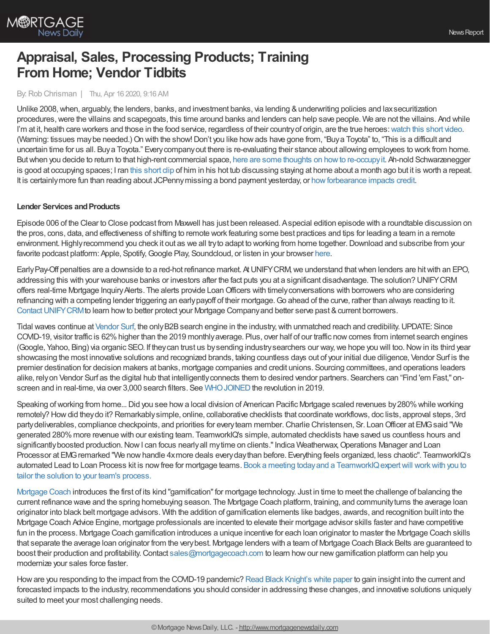

# **Appraisal, Sales, Processing Products; Training From Home; Vendor Tidbits**

## By: Rob Chrisman | Thu, Apr 16 2020, 9:16 AM

Unlike 2008, when, arguably, the lenders, banks, and investment banks, via lending & underwriting policies and lax securitization procedures, were the villains and scapegoats, this time around banks and lenders can help save people. We are not the villains. And while I'm at it, health care workers and those in the food service, regardless of their country of origin, are the true heroes: [watch](https://twitter.com/MrPranPatel/status/1250167541177225221) this short video. (Warning: tissues maybe needed.)On with the show!Don't you like howads have gone from, "Buya Toyota" to, "This is a difficult and uncertain time for us all. Buya Toyota." Everycompanyout there is re-evaluating their stance about allowing employees to work from home. Butwhen you decide to return to that high-rent commercial space, here are some thoughts on howto [re-occupyit.](https://www.connect.media/re-occupying-your-facility-with-confidence/) Ah-nold Schwarzenegger is good at occupying spaces; I ran this [short](https://www.youtube.com/watch?v=O1TnHPCZGFI) clip of him in his hot tub discussing staying at home about a month ago but it is worth a repeat. It is certainly more fun than reading about JCPenny missing a bond payment yesterday, or how forbearance impacts credit.

#### **Lender Services and Products**

Episode 006 of the Clear to Close podcast from Maxwell has just been released. Aspecial edition episode with a roundtable discussion on the pros, cons, data, and effectiveness of shifting to remote work featuring some best practices and tips for leading a team in a remote environment. Highly recommend you check it out as we all try to adapt to working from home together. Download and subscribe from your favorite podcast platform: Apple, Spotify, Google Play, Soundcloud, or listen in your browser [here](https://himaxwell.com/podcast?utm_source=RC&utm_medium=Podcast).

EarlyPay-Off penalties are a downside to a red-hot refinance market. AtUNIFYCRM,we understand thatwhen lenders are hitwith an EPO, addressing this with your warehouse banks or investors after the fact puts you at a significant disadvantage. The solution? UNIFYCRM offers real-time Mortgage Inquiry Alerts. The alerts provide Loan Officers with timely conversations with borrowers who are considering refinancing with a competing lender triggering an early payoff of their mortgage. Go ahead of the curve, rather than always reacting to it. Contact UNIFY CRM to learn how to better protect your Mortgage Company and better serve past & current borrowers.

Tidal waves continue at [Vendor](https://www.vendorsurf.com/) Surf, the only B2B search engine in the industry, with unmatched reach and credibility. UPDATE: Since COVID-19, visitor traffic is 62%higher than the 2019 monthlyaverage. Plus, over half of our traffic nowcomes from internet search engines (Google, Yahoo, Bing) via organic SEO. If theycan trust us bysending industrysearchers our way,we hope you will too.Nowin its third year showcasing the most innovative solutions and recognized brands, taking countless days out of your initial due diligence, Vendor Surf is the premier destination for decision makers at banks, mortgage companies and credit unions. Sourcing committees, and operations leaders alike, relyon Vendor Surf as the digital hub that intelligentlyconnects them to desired vendor partners. Searchers can "Find 'em Fast," onscreen and in real-time, via over 3,000 search filters. See WHO JOINED the revolution in 2019.

Speaking of working from home... Did you see how a local division of American Pacific Mortgage scaled revenues by 280% while working remotely? Howdid theydo it? Remarkablysimple, online, collaborative checklists that coordinate workflows, doc lists, approval steps, 3rd partydeliverables, compliance checkpoints, and priorities for everyteam member.Charlie Christensen, Sr. LoanOfficer at EMGsaid "We generated 280%more revenue with our existing team. TeamworkIQ's simple, automated checklists have saved us countless hours and significantly boosted production. Now I can focus nearly all my time on clients." Indica Weatherwax, Operations Manager and Loan Processor at EMGremarked "We nowhandle 4xmore deals everydaythan before. Everything feels organized, less chaotic". TeamworkIQ's automated Lead to Loan Process kit is now free for mortgage teams. Book a meeting today and a TeamworkIQ expert will work with you to tailor the solution to your team's process.

[Mortgage](https://mortgagecoach.com/) Coach introduces the first of its kind "gamification" for mortgage technology. Just in time to meet the challenge of balancing the current refinance wave and the spring homebuying season. The Mortgage Coach platform, training, and communityturns the average loan originator into black belt mortgage advisors. With the addition of gamification elements like badges, awards, and recognition built into the Mortgage Coach Advice Engine, mortgage professionals are incented to elevate their mortgage advisor skills faster and have competitive fun in the process. Mortgage Coach gamification introduces a unique incentive for each loan originator to master the Mortgage Coach skills that separate the average loan originator from the verybest. Mortgage lenders with a team of Mortgage Coach Black Belts are guaranteed to boost their production and profitability.Contact [sales@mortgagecoach.com](https://outlook.office.com/mail/deeplink/compose/sales@mortgagecoach.com) to learn howour newgamification platform can help you modernize your sales force faster.

Howare you responding to the impact from the COVID-19 pandemic? Read Black [Knight's](https://www.blackknightinc.com/covid-19-lp?utm_source=Rob%20Chrisman&utm_medium=ad&utm_campaign=COVID-19%20White%20Paper%20Campaign&utm_content=CMP-04996-N2J0K4) white paper to gain insight into the current and forecasted impacts to the industry, recommendations you should consider in addressing these changes, and innovative solutions uniquely suited to meet your most challenging needs.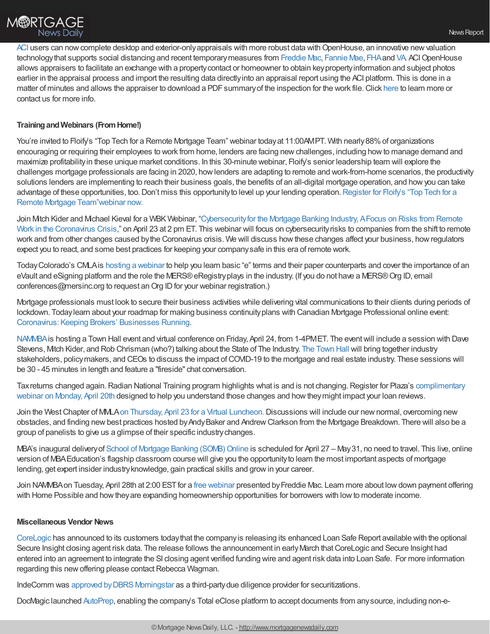[ACI](https://www.aciweb.com/) users can now complete desktop and exterior-only appraisals with more robust data with OpenHouse, an innovative new valuation technology that supports social distancing and recent temporary measures from [Freddie](https://sf.freddiemac.com/faqs/covid-19-selling-faqs) Mac, [Fannie](https://singlefamily.fanniemae.com/media/22326/display) Mae, [FHA](https://www.hud.gov/sites/dfiles/SFH/documents/SFH_COVID_19_QA.pdf) and [VA](https://www.benefits.va.gov/HOMELOANS/documents/circulars/26_20_11.pdf) ACI OpenHouse allows appraisers to facilitate an exchange with a propertycontact or homeowner to obtain keypropertyinformation and subject photos earlier in the appraisal process and import the resulting data directlyinto an appraisal report using the ACI platform. This is done in a matter of minutes and allows the appraiser to download a PDF summary of the inspection for the work file. Click [here](https://www.firstam.com/news/2020/aci-launches-openhouse-20200415.html) to learn more or contact us for more info.

## **TrainingandWebinars (FromHome!)**

You're invited to Floify's "Top Tech for a Remote Mortgage Team" webinar today at 11:00AMPT. With nearly 88% of organizations encouraging or requiring their employees to work from home, lenders are facing newchallenges, including howto manage demand and maximize profitabilityin these unique market conditions. In this 30-minute webinar, Floify's senior leadership team will explore the challenges mortgage professionals are facing in 2020, howlenders are adapting to remote and work-from-home scenarios, the productivity solutions lenders are implementing to reach their business goals, the benefits of an all-digital mortgage operation, and howyou can take advantage of these opportunities, too. Don't miss this opportunity to level up your lending operation. Register for Floify's "Top Tech for a Remote Mortgage Team"webinar now.

Join Mitch Kider and Michael Kieval for a WBK Webinar, "Cybersecurity for the Mortgage Banking Industry, A Focus on Risks from Remote Work in the Coronavirus Crisis," on April 23 at 2 pm ET. This webinar will focus on [cybersecurityrisks](https://www.thewbkfirm.com/wbk-news/media/webinar-registration) to companies from the shift to remote work and from other changes caused bythe Coronavirus crisis. We will discuss howthese changes affect your business, howregulators expect you to react, and some best practices for keeping your companysafe in this era of remote work.

TodayColorado's CMLAis hosting a [webinar](http://www.cvent.com/events/enotes-101/event-summary-f534281bd89543d5a71d97675d46ed0b.aspx?utm_source=civicrm&utm_medium=email&utm_campaign=website) to help you learn basic "e" terms and their paper counterparts and cover the importance of an eVault and eSigning platform and the role the MERS®eRegistryplays in the industry. (If you do not have a MERS®Org ID, email conferences@mersinc.org to request an Org ID for your webinar registration.)

Mortgage professionals must look to secure their business activities while delivering vital communications to their clients during periods of lockdown. Todaylearn about your roadmap for making business continuityplans with Canadian Mortgage Professional online event: [Coronavirus:](http://hubspot.keymedia.com/mortgage-professional-keeping-brokers-businesses-running?utm_campaign=MPOE%20KBBR2020%20Marketing&utm_source=hs_email&utm_medium=email&utm_content=86096437&_hsenc=p2ANqtz-_jk5EN5cVz_ES-Qsq6LPezmaDoigyXvvtW9GQ1FI5imlXojFfkBmn2iJji1rhdCvZIZiQKfkIhxdQliQT1uh0gjUSBdhVIxCYazWa05YjPK42tw0M&_hsmi=86096437) Keeping Brokers' Businesses Running.

[NAMMBA](http://www.nammba.org/)is hosting a Town Hall event and virtual conference on Friday, April 24, from 1-4PMET. The eventwill include a session with Dave Stevens, Mitch Kider, and Rob Chrisman (who?) talking about the State of The Industry. The [Town](https://zoom.com.cn/webinar/register/WN_cezzTZBrQBaQfkjOiCylXg) Hall will bring together industry stakeholders, policy makers, and CEOs to discuss the impact of COVID-19 to the mortgage and real estate industry. These sessions will be 30 - 45 minutes in length and feature a "fireside" chat conversation.

Tax returns changed again. Radian National Training program highlights what is and is not changing. Register for Plaza's complimentary webinar on Monday, April 20th designed to help you understand those changes and howtheymight impact your loan reviews.

Join the West Chapter of MMLA on Thursday, April 23 for a Virtual [Luncheon.](https://mmla.net/meet-reg1.php?mi=1276106&id=210) Discussions will include our new normal, overcoming new obstacles, and finding new best practices hosted by Andy Baker and Andrew Clarkson from the Mortgage Breakdown. There will also be a group of panelists to give us a glimpse of their specific industrychanges.

MBA's inaugural delivery of School of Mortgage Banking (SOMB) Online is scheduled for April 27 – May 31, no need to travel. This live, online version of MBAEducation's flagship classroom course will give you the opportunityto learn the most important aspects of mortgage lending, get expert insider industryknowledge, gain practical skills and growin your career.

Join NAMMBA on Tuesday, April 28th at 2:00 EST for a free [webinar](https://sf.freddiemac.com/tools-learning/courses?course=wcours000000000008882) presented by Freddie Mac. Learn more about low down payment offering with Home Possible and how they are expanding homeownership opportunities for borrowers with low to moderate income.

#### **Miscellaneous Vendor News**

[CoreLogic](https://www.corelogic.com/) has announced to its customers todaythat the companyis releasing its enhanced Loan Safe Report available with the optional Secure Insight closing agent risk data. The release follows the announcement in early March that CoreLogic and Secure Insight had entered into an agreement to integrate the SI closing agent verified funding wire and agent risk data into Loan Safe. For more information regarding this new offering please contact Rebecca Wagman.

IndeComm was approved by DBRS Morningstar as a third-party due diligence provider for securitizations.

DocMagic launched [AutoPrep,](https://www.docmagic.com/autoprep) enabling the company's Total eClose platform to accept documents from anysource, including non-e-